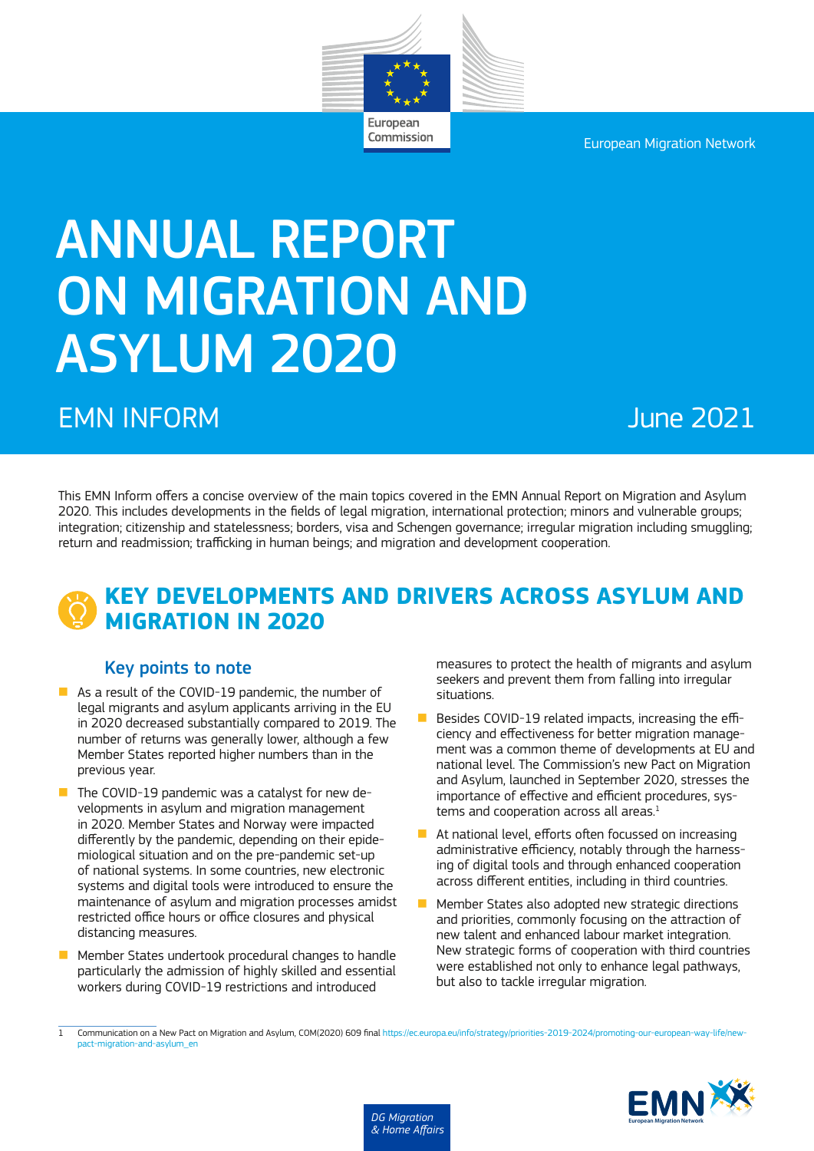European Migration Network



Commission

# ANNUAL REPORT ON MIGRATION AND ASYLUM 2020

# EMN INFORM June 2021

This EMN Inform offers a concise overview of the main topics covered in the EMN Annual Report on Migration and Asylum 2020. This includes developments in the fields of legal migration, international protection; minors and vulnerable groups; integration; citizenship and statelessness; borders, visa and Schengen governance; irregular migration including smuggling; return and readmission; trafficking in human beings; and migration and development cooperation.

# **KEY DEVELOPMENTS AND DRIVERS ACROSS ASYLUM AND MIGRATION IN 2020**

#### Key points to note

- $\blacksquare$  As a result of the COVID-19 pandemic, the number of legal migrants and asylum applicants arriving in the EU in 2020 decreased substantially compared to 2019. The number of returns was generally lower, although a few Member States reported higher numbers than in the previous year.
- $\blacksquare$  The COVID-19 pandemic was a catalyst for new developments in asylum and migration management in 2020. Member States and Norway were impacted differently by the pandemic, depending on their epidemiological situation and on the pre-pandemic set-up of national systems. In some countries, new electronic systems and digital tools were introduced to ensure the maintenance of asylum and migration processes amidst restricted office hours or office closures and physical distancing measures.
- $\blacksquare$  Member States undertook procedural changes to handle particularly the admission of highly skilled and essential workers during COVID-19 restrictions and introduced

measures to protect the health of migrants and asylum seekers and prevent them from falling into irregular situations.

- $\blacksquare$  Besides COVID-19 related impacts, increasing the efficiency and effectiveness for better migration management was a common theme of developments at EU and national level. The Commission's new Pact on Migration and Asylum, launched in September 2020, stresses the importance of effective and efficient procedures, systems and cooperation across all areas.<sup>1</sup>
- $\blacksquare$  At national level, efforts often focussed on increasing administrative efficiency, notably through the harnessing of digital tools and through enhanced cooperation across different entities, including in third countries.
- $\blacksquare$  Member States also adopted new strategic directions and priorities, commonly focusing on the attraction of new talent and enhanced labour market integration. New strategic forms of cooperation with third countries were established not only to enhance legal pathways, but also to tackle irregular migration.

Communication on a New Pact on Migration and Asylum, COM(2020) 609 final [https://ec.europa.eu/info/strategy/priorities-2019-2024/promoting-our-european-way-life/new](https://ec.europa.eu/info/strategy/priorities-2019-2024/promoting-our-european-way-life/new-pact-migration-and-asylum_en)[pact-migration-and-asylum\\_en](https://ec.europa.eu/info/strategy/priorities-2019-2024/promoting-our-european-way-life/new-pact-migration-and-asylum_en)



*DG Migration & Home Affairs*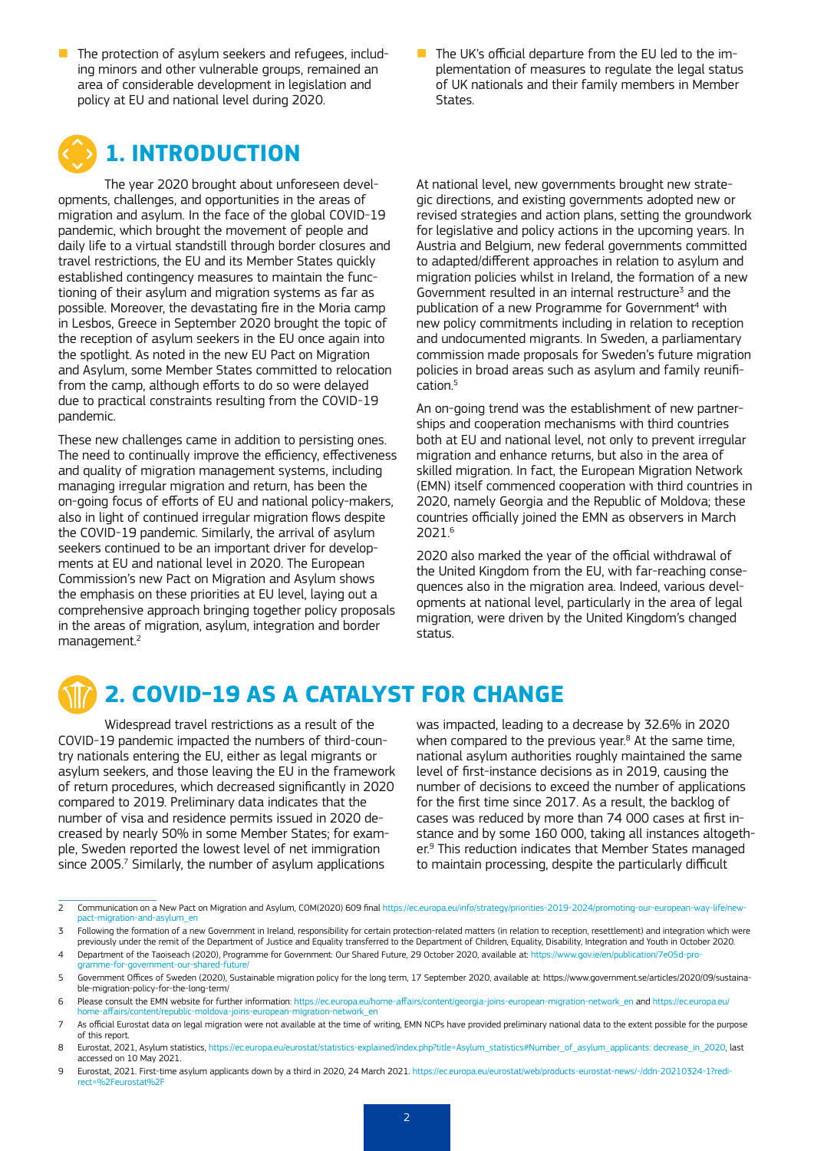- $\blacksquare$  The protection of asylum seekers and refugees, including minors and other vulnerable groups, remained an area of considerable development in legislation and policy at EU and national level during 2020.
- $\blacksquare$  The UK's official departure from the EU led to the implementation of measures to regulate the legal status of UK nationals and their family members in Member **States**

# **1. INTRODUCTION**

The year 2020 brought about unforeseen developments, challenges, and opportunities in the areas of migration and asylum. In the face of the global COVID-19 pandemic, which brought the movement of people and daily life to a virtual standstill through border closures and travel restrictions, the EU and its Member States quickly established contingency measures to maintain the functioning of their asylum and migration systems as far as possible. Moreover, the devastating fire in the Moria camp in Lesbos, Greece in September 2020 brought the topic of the reception of asylum seekers in the EU once again into the spotlight. As noted in the new EU Pact on Migration and Asylum, some Member States committed to relocation from the camp, although efforts to do so were delayed due to practical constraints resulting from the COVID-19 pandemic.

These new challenges came in addition to persisting ones. The need to continually improve the efficiency, effectiveness and quality of migration management systems, including managing irregular migration and return, has been the on-going focus of efforts of EU and national policy-makers, also in light of continued irregular migration flows despite the COVID-19 pandemic. Similarly, the arrival of asylum seekers continued to be an important driver for developments at EU and national level in 2020. The European Commission's new Pact on Migration and Asylum shows the emphasis on these priorities at EU level, laying out a comprehensive approach bringing together policy proposals in the areas of migration, asylum, integration and border management.2

At national level, new governments brought new strategic directions, and existing governments adopted new or revised strategies and action plans, setting the groundwork for legislative and policy actions in the upcoming years. In Austria and Belgium, new federal governments committed to adapted/different approaches in relation to asylum and migration policies whilst in Ireland, the formation of a new Government resulted in an internal restructure<sup>3</sup> and the publication of a new Programme for Government<sup>4</sup> with new policy commitments including in relation to reception and undocumented migrants. In Sweden, a parliamentary commission made proposals for Sweden's future migration policies in broad areas such as asylum and family reunification.5

An on-going trend was the establishment of new partnerships and cooperation mechanisms with third countries both at EU and national level, not only to prevent irregular migration and enhance returns, but also in the area of skilled migration. In fact, the European Migration Network (EMN) itself commenced cooperation with third countries in 2020, namely Georgia and the Republic of Moldova; these countries officially joined the EMN as observers in March 2021.6

2020 also marked the year of the official withdrawal of the United Kingdom from the EU, with far-reaching consequences also in the migration area. Indeed, various developments at national level, particularly in the area of legal migration, were driven by the United Kingdom's changed status.

# **2. COVID-19 AS A CATALYST FOR CHANGE**

Widespread travel restrictions as a result of the COVID-19 pandemic impacted the numbers of third-country nationals entering the EU, either as legal migrants or asylum seekers, and those leaving the EU in the framework of return procedures, which decreased significantly in 2020 compared to 2019. Preliminary data indicates that the number of visa and residence permits issued in 2020 decreased by nearly 50% in some Member States; for example, Sweden reported the lowest level of net immigration since 2005.<sup>7</sup> Similarly, the number of asylum applications

was impacted, leading to a decrease by 32.6% in 2020 when compared to the previous year.<sup>8</sup> At the same time, national asylum authorities roughly maintained the same level of first-instance decisions as in 2019, causing the number of decisions to exceed the number of applications for the first time since 2017. As a result, the backlog of cases was reduced by more than 74 000 cases at first instance and by some 160 000, taking all instances altogether.9 This reduction indicates that Member States managed to maintain processing, despite the particularly difficult

- 6 Please consult the EMN website for further information: [https://ec.europa.eu/home-affairs/content/georgia-joins-european-migration-network\\_en](https://ec.europa.eu/home-affairs/content/georgia-joins-european-migration-network_en) and [https://ec.europa.eu/](https://ec.europa.eu/home-affairs/content/republic-moldova-joins-european-migration-network_en)<br>home-affairs/content/requiblic-moldova-joins-europea ent/republic-moldova-joins-european-migration-network\_en
- 7 As official Eurostat data on legal migration were not available at the time of writing, EMN NCPs have provided preliminary national data to the extent possible for the purpose of this report.
- 8 Eurostat, 2021, Asylum statistics, https://ec.europa.eu/eurostat/statistics-explained/index.php?title=Asylum\_statistics#Number\_of\_asylum\_applicants: decrease\_in\_2020, last accessed on 10 May 2021.
- 9 Eurostat, 2021. First-time asylum applicants down by a third in 2020, 24 March 2021. [https://ec.europa.eu/eurostat/web/products-eurostat-news/-/ddn-20210324-1?redi](https://ec.europa.eu/eurostat/web/products-eurostat-news/-/ddn-20210324-1?redirect=%2Feurostat%2F)rect=%2Feurostat%2

<sup>2</sup> Communication on a New Pact on Migration and Asylum, COM(2020) 609 final [https://ec.europa.eu/info/strategy/priorities-2019-2024/promoting-our-european-way-life/new](https://ec.europa.eu/info/strategy/priorities-2019-2024/promoting-our-european-way-life/new-pact-migration-and-asylum_en)[pact-migration-and-asylum\\_en](https://ec.europa.eu/info/strategy/priorities-2019-2024/promoting-our-european-way-life/new-pact-migration-and-asylum_en)

<sup>3</sup> Following the formation of a new Government in Ireland, responsibility for certain protection-related matters (in relation to reception, resettlement) and integration which were previously under the remit of the Department of Justice and Equality transferred to the Department of Children, Equality, Disability, Integration and Youth in October 2020.

<sup>4</sup> Department of the Taoiseach (2020), Programme for Government: Our Shared Future, 29 October 2020, available at: [https://www.gov.ie/en/publication/7e05d-pro](https://www.gov.ie/en/publication/7e05d-programme-for-government-our-shared-future/)ramme-for-government-our-shared-futur

<sup>5</sup> Government Offices of Sweden (2020), Sustainable migration policy for the long term, 17 September 2020, available at: https://www.government.se/articles/2020/09/sustainable-migration-policy-for-the-long-term/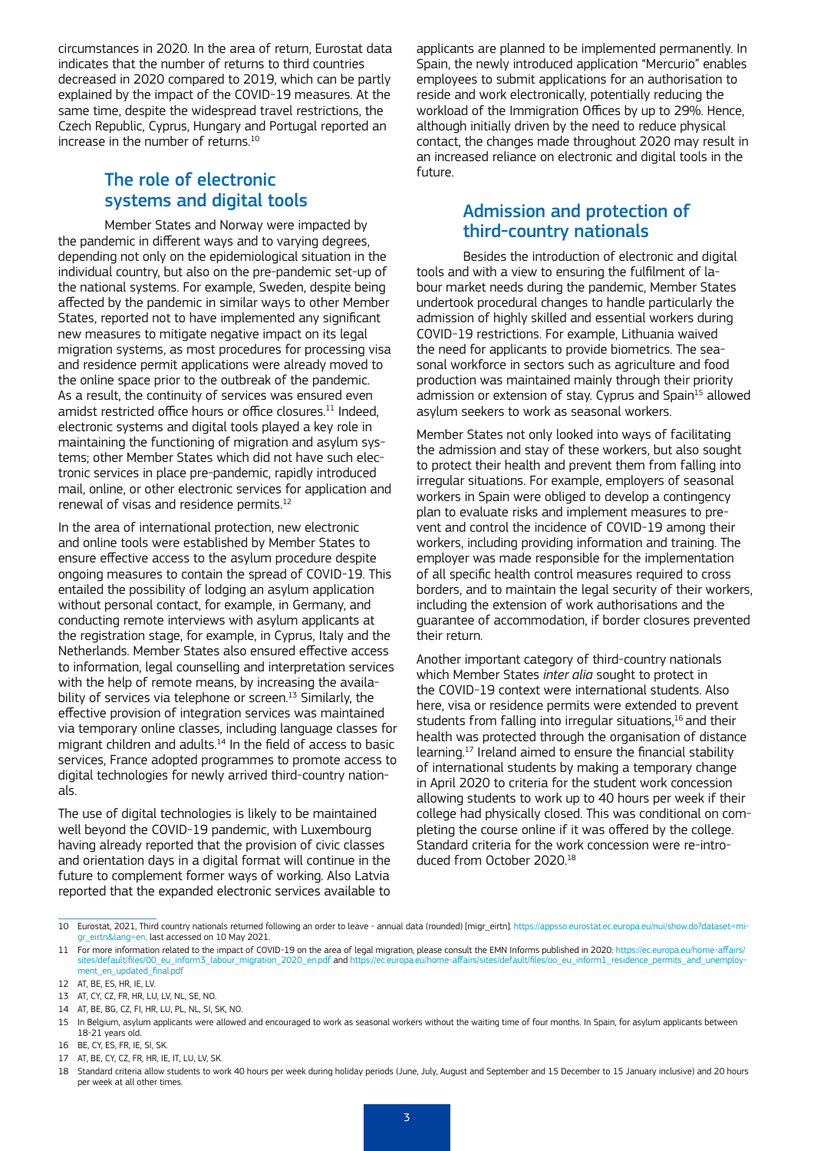circumstances in 2020. In the area of return, Eurostat data indicates that the number of returns to third countries decreased in 2020 compared to 2019, which can be partly explained by the impact of the COVID-19 measures. At the same time, despite the widespread travel restrictions, the Czech Republic, Cyprus, Hungary and Portugal reported an increase in the number of returns.<sup>10</sup>

#### The role of electronic systems and digital tools

Member States and Norway were impacted by the pandemic in different ways and to varying degrees, depending not only on the epidemiological situation in the individual country, but also on the pre-pandemic set-up of the national systems. For example, Sweden, despite being affected by the pandemic in similar ways to other Member States, reported not to have implemented any significant new measures to mitigate negative impact on its legal migration systems, as most procedures for processing visa and residence permit applications were already moved to the online space prior to the outbreak of the pandemic. As a result, the continuity of services was ensured even amidst restricted office hours or office closures.<sup>11</sup> Indeed, electronic systems and digital tools played a key role in maintaining the functioning of migration and asylum systems; other Member States which did not have such electronic services in place pre-pandemic, rapidly introduced mail, online, or other electronic services for application and renewal of visas and residence permits.12

In the area of international protection, new electronic and online tools were established by Member States to ensure effective access to the asylum procedure despite ongoing measures to contain the spread of COVID-19. This entailed the possibility of lodging an asylum application without personal contact, for example, in Germany, and conducting remote interviews with asylum applicants at the registration stage, for example, in Cyprus, Italy and the Netherlands. Member States also ensured effective access to information, legal counselling and interpretation services with the help of remote means, by increasing the availability of services via telephone or screen.<sup>13</sup> Similarly, the effective provision of integration services was maintained via temporary online classes, including language classes for migrant children and adults. $14$  In the field of access to basic services, France adopted programmes to promote access to digital technologies for newly arrived third-country nationals.

The use of digital technologies is likely to be maintained well beyond the COVID-19 pandemic, with Luxembourg having already reported that the provision of civic classes and orientation days in a digital format will continue in the future to complement former ways of working. Also Latvia reported that the expanded electronic services available to

applicants are planned to be implemented permanently. In Spain, the newly introduced application "Mercurio" enables employees to submit applications for an authorisation to reside and work electronically, potentially reducing the workload of the Immigration Offices by up to 29%. Hence, although initially driven by the need to reduce physical contact, the changes made throughout 2020 may result in an increased reliance on electronic and digital tools in the future.

### Admission and protection of third-country nationals

Besides the introduction of electronic and digital tools and with a view to ensuring the fulfilment of labour market needs during the pandemic, Member States undertook procedural changes to handle particularly the admission of highly skilled and essential workers during COVID-19 restrictions. For example, Lithuania waived the need for applicants to provide biometrics. The seasonal workforce in sectors such as agriculture and food production was maintained mainly through their priority admission or extension of stay. Cyprus and Spain<sup>15</sup> allowed asylum seekers to work as seasonal workers.

Member States not only looked into ways of facilitating the admission and stay of these workers, but also sought to protect their health and prevent them from falling into irregular situations. For example, employers of seasonal workers in Spain were obliged to develop a contingency plan to evaluate risks and implement measures to prevent and control the incidence of COVID-19 among their workers, including providing information and training. The employer was made responsible for the implementation of all specific health control measures required to cross borders, and to maintain the legal security of their workers, including the extension of work authorisations and the guarantee of accommodation, if border closures prevented their return.

Another important category of third-country nationals which Member States *inter alia* sought to protect in the COVID-19 context were international students. Also here, visa or residence permits were extended to prevent students from falling into irregular situations,<sup>16</sup> and their health was protected through the organisation of distance learning.17 Ireland aimed to ensure the financial stability of international students by making a temporary change in April 2020 to criteria for the student work concession allowing students to work up to 40 hours per week if their college had physically closed. This was conditional on completing the course online if it was offered by the college. Standard criteria for the work concession were re-introduced from October 2020.18

- 13 AT, CY, CZ, FR, HR, LU, LV, NL, SE, NO.
- 14 AT, BE, BG, CZ, FI, HR, LU, PL, NL, SI, SK, NO.

<sup>10</sup> Eurostat, 2021, Third country nationals returned following an order to leave - annual data (rounded) [migr\_eirtn]. [https://appsso.eurostat.ec.europa.eu/nui/show.do?dataset=mi](https://appsso.eurostat.ec.europa.eu/nui/show.do?dataset=migr_eirtn&lang=en)[gr\\_eirtn&lang=en](https://appsso.eurostat.ec.europa.eu/nui/show.do?dataset=migr_eirtn&lang=en), last accessed on 10 May 2021.

<sup>11</sup> For more information related to the impact of COVID-19 on the area of legal migration, please consult the EMN Informs published in 2020: [https://ec.europa.eu/home-affairs/](https://ec.europa.eu/home-affairs/sites/default/files/00_eu_inform3_labour_migration_2020_en.pdf) [sites/default/files/00\\_eu\\_inform3\\_labour\\_migration\\_2020\\_en.pdf](https://ec.europa.eu/home-affairs/sites/default/files/00_eu_inform3_labour_migration_2020_en.pdf) and [https://ec.europa.eu/home-affairs/sites/default/files/oo\\_eu\\_inform1\\_residence\\_permits\\_and\\_unemploy](https://ec.europa.eu/home-affairs/sites/default/files/oo_eu_inform1_residence_permits_and_unemployment_en_updated_final.pdf)[ment\\_en\\_updated\\_final.pdf](https://ec.europa.eu/home-affairs/sites/default/files/oo_eu_inform1_residence_permits_and_unemployment_en_updated_final.pdf)

<sup>12</sup> AT, BE, ES, HR, IE, LV.

<sup>15</sup> In Belgium, asylum applicants were allowed and encouraged to work as seasonal workers without the waiting time of four months. In Spain, for asylum applicants between 18-21 years old. 16 BE, CY, ES, FR, IE, SI, SK.

<sup>17</sup> AT, BE, CY, CZ, FR, HR, IE, IT, LU, LV, SK.

<sup>18</sup> Standard criteria allow students to work 40 hours per week during holiday periods (June, July, August and September and 15 December to 15 January inclusive) and 20 hours per week at all other times.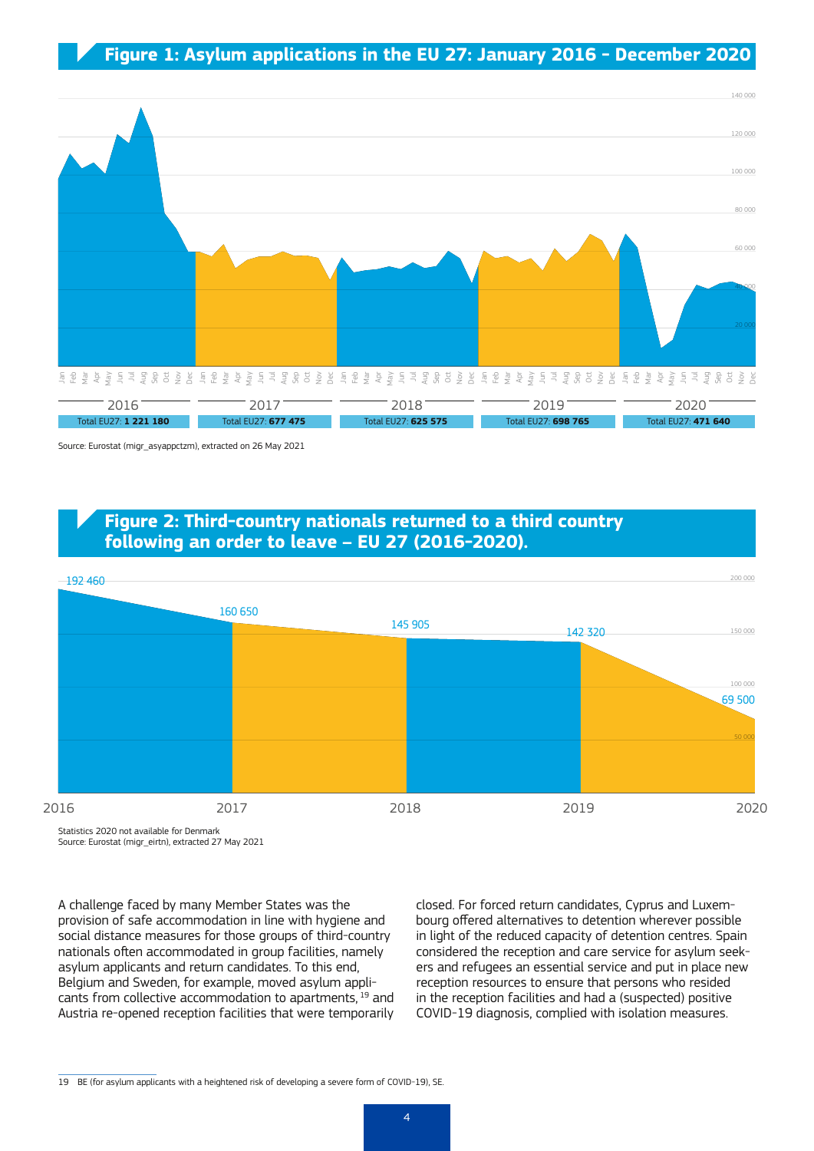#### **Figure 1: Asylum applications in the EU 27: January 2016 - December 2020**



Source: Eurostat (migr\_asyappctzm), extracted on 26 May 2021

#### **Figure 2: Third-country nationals returned to a third country following an order to leave – EU 27 (2016-2020).**



Statistics 2020 not available for Denmark Source: Eurostat (migr\_eirtn), extracted 27 May 2021

A challenge faced by many Member States was the provision of safe accommodation in line with hygiene and social distance measures for those groups of third-country nationals often accommodated in group facilities, namely asylum applicants and return candidates. To this end, Belgium and Sweden, for example, moved asylum applicants from collective accommodation to apartments, 19 and Austria re-opened reception facilities that were temporarily

closed. For forced return candidates, Cyprus and Luxembourg offered alternatives to detention wherever possible in light of the reduced capacity of detention centres. Spain considered the reception and care service for asylum seekers and refugees an essential service and put in place new reception resources to ensure that persons who resided in the reception facilities and had a (suspected) positive COVID-19 diagnosis, complied with isolation measures.

<sup>19</sup> BE (for asylum applicants with a heightened risk of developing a severe form of COVID-19), SE.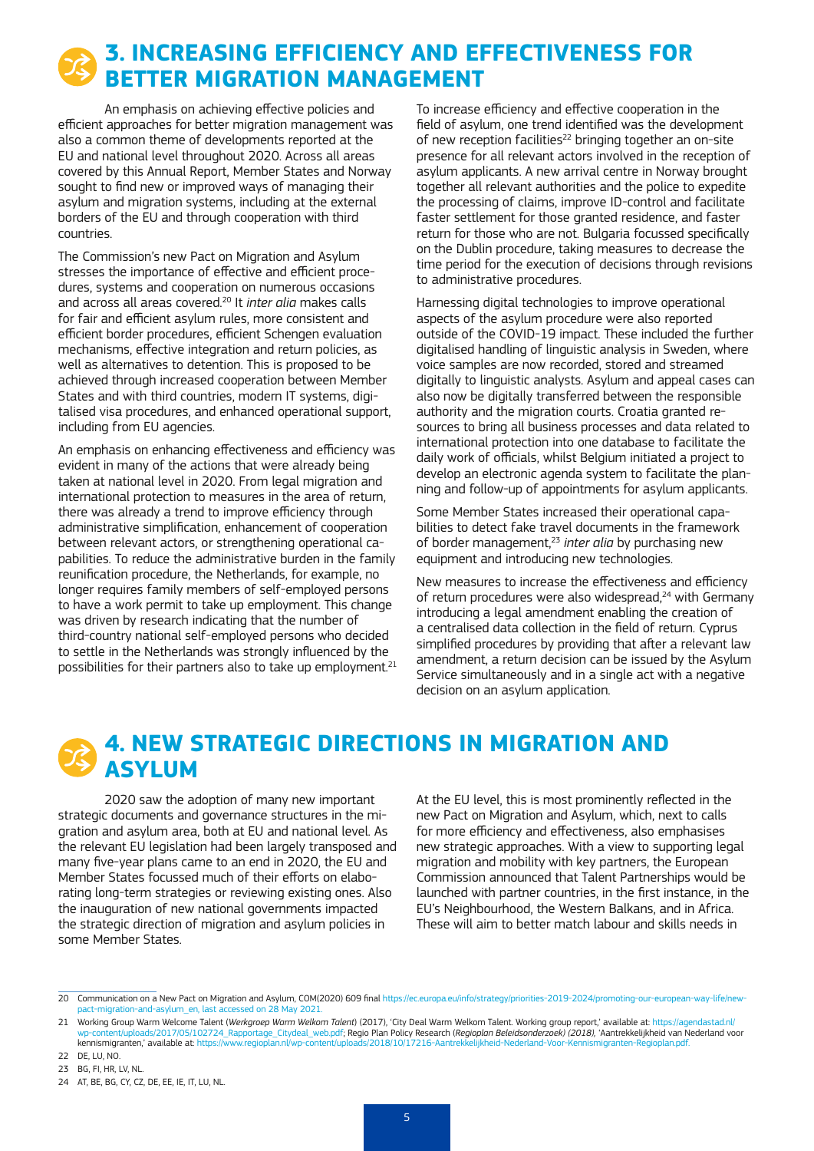# **3. INCREASING EFFICIENCY AND EFFECTIVENESS FOR BETTER MIGRATION MANAGEMENT**

An emphasis on achieving effective policies and efficient approaches for better migration management was also a common theme of developments reported at the EU and national level throughout 2020. Across all areas covered by this Annual Report, Member States and Norway sought to find new or improved ways of managing their asylum and migration systems, including at the external borders of the EU and through cooperation with third countries.

The Commission's new Pact on Migration and Asylum stresses the importance of effective and efficient procedures, systems and cooperation on numerous occasions and across all areas covered.20 It *inter alia* makes calls for fair and efficient asylum rules, more consistent and efficient border procedures, efficient Schengen evaluation mechanisms, effective integration and return policies, as well as alternatives to detention. This is proposed to be achieved through increased cooperation between Member States and with third countries, modern IT systems, digitalised visa procedures, and enhanced operational support, including from EU agencies.

An emphasis on enhancing effectiveness and efficiency was evident in many of the actions that were already being taken at national level in 2020. From legal migration and international protection to measures in the area of return, there was already a trend to improve efficiency through administrative simplification, enhancement of cooperation between relevant actors, or strengthening operational capabilities. To reduce the administrative burden in the family reunification procedure, the Netherlands, for example, no longer requires family members of self-employed persons to have a work permit to take up employment. This change was driven by research indicating that the number of third-country national self-employed persons who decided to settle in the Netherlands was strongly influenced by the possibilities for their partners also to take up employment.<sup>21</sup> To increase efficiency and effective cooperation in the field of asylum, one trend identified was the development of new reception facilities<sup>22</sup> bringing together an on-site presence for all relevant actors involved in the reception of asylum applicants. A new arrival centre in Norway brought together all relevant authorities and the police to expedite the processing of claims, improve ID-control and facilitate faster settlement for those granted residence, and faster return for those who are not. Bulgaria focussed specifically on the Dublin procedure, taking measures to decrease the time period for the execution of decisions through revisions to administrative procedures.

Harnessing digital technologies to improve operational aspects of the asylum procedure were also reported outside of the COVID-19 impact. These included the further digitalised handling of linguistic analysis in Sweden, where voice samples are now recorded, stored and streamed digitally to linguistic analysts. Asylum and appeal cases can also now be digitally transferred between the responsible authority and the migration courts. Croatia granted resources to bring all business processes and data related to international protection into one database to facilitate the daily work of officials, whilst Belgium initiated a project to develop an electronic agenda system to facilitate the planning and follow-up of appointments for asylum applicants.

Some Member States increased their operational capabilities to detect fake travel documents in the framework of border management,23 *inter alia* by purchasing new equipment and introducing new technologies.

New measures to increase the effectiveness and efficiency of return procedures were also widespread.<sup>24</sup> with Germany introducing a legal amendment enabling the creation of a centralised data collection in the field of return. Cyprus simplified procedures by providing that after a relevant law amendment, a return decision can be issued by the Asylum Service simultaneously and in a single act with a negative decision on an asylum application.

# **4. NEW STRATEGIC DIRECTIONS IN MIGRATION AND ASYLUM**

2020 saw the adoption of many new important strategic documents and governance structures in the migration and asylum area, both at EU and national level. As the relevant EU legislation had been largely transposed and many five-year plans came to an end in 2020, the EU and Member States focussed much of their efforts on elaborating long-term strategies or reviewing existing ones. Also the inauguration of new national governments impacted the strategic direction of migration and asylum policies in some Member States.

At the EU level, this is most prominently reflected in the new Pact on Migration and Asylum, which, next to calls for more efficiency and effectiveness, also emphasises new strategic approaches. With a view to supporting legal migration and mobility with key partners, the European Commission announced that Talent Partnerships would be launched with partner countries, in the first instance, in the EU's Neighbourhood, the Western Balkans, and in Africa. These will aim to better match labour and skills needs in

<sup>20</sup> Communication on a New Pact on Migration and Asylum, COM(2020) 609 final [https://ec.europa.eu/info/strategy/priorities-2019-2024/promoting-our-european-way-life/new](https://ec.europa.eu/info/strategy/priorities-2019-2024/promoting-our-european-way-life/new-pact-migration-and-asylum_en)[pact-migration-and-asylum\\_en,](https://ec.europa.eu/info/strategy/priorities-2019-2024/promoting-our-european-way-life/new-pact-migration-and-asylum_en) last accessed on 28 May 2021.

<sup>21</sup> Working Group Warm Welcome Talent (*Werkgroep Warm Welkom Talent*) (2017), 'City Deal Warm Welkom Talent. Working group report,' available at: [https://agendastad.nl/](https://agendastad.nl/wp-content/uploads/2017/05/102724_Rapportage_Citydeal_web.pdf) [wp-content/uploads/2017/05/102724\\_Rapportage\\_Citydeal\\_web.pdf](https://agendastad.nl/wp-content/uploads/2017/05/102724_Rapportage_Citydeal_web.pdf); <mark>Regio Plan Policy Research (*Regioplan Beleidsonderzoek) (2018),* 'Aantrekkelijkheid van Nederland voor<br>kennismigranten, available at: https://www.regioplan.n</mark> kennismigranten,' available at: https://www.regioplan.nl/wp-content/uploa

<sup>22</sup> DE, LU, NO.

<sup>23</sup> BG, FI, HR, LV, NL.

<sup>24</sup> AT, BE, BG, CY, CZ, DE, EE, IE, IT, LU, NL.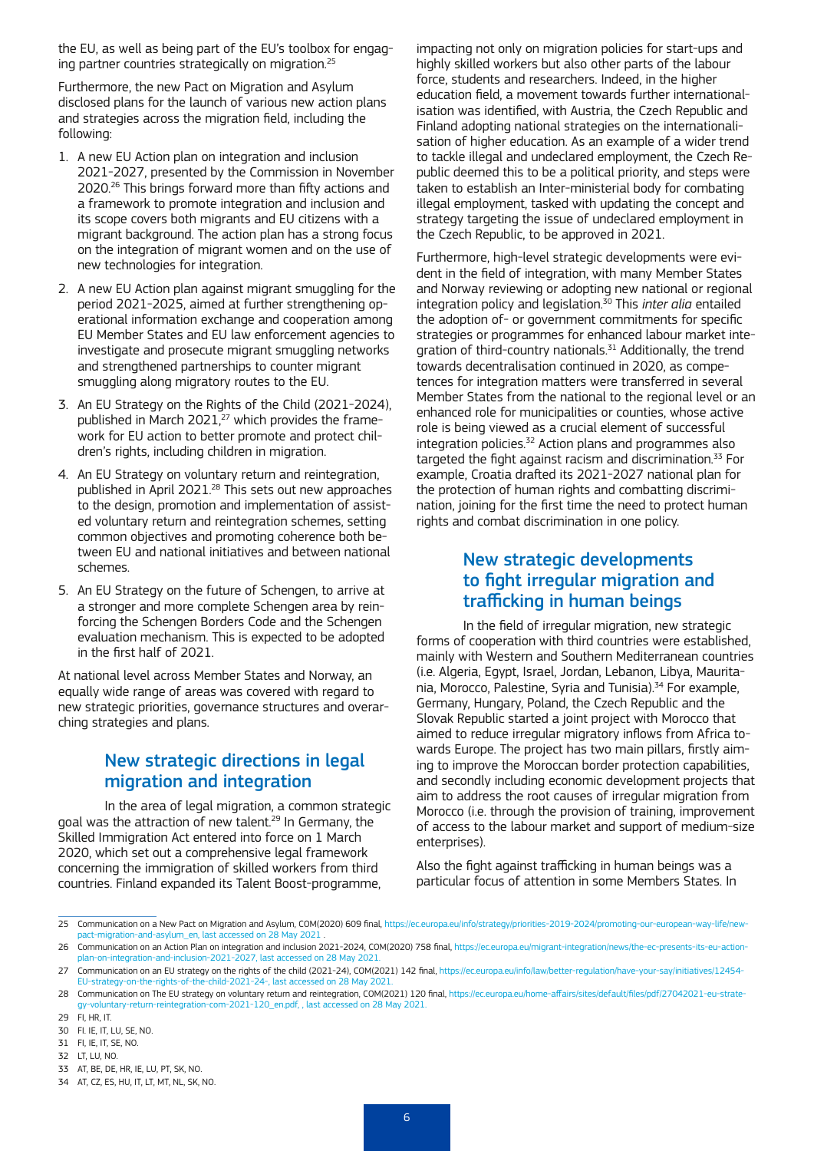the EU, as well as being part of the EU's toolbox for engaging partner countries strategically on migration.25

Furthermore, the new Pact on Migration and Asylum disclosed plans for the launch of various new action plans and strategies across the migration field, including the following:

- 1. A new EU Action plan on integration and inclusion 2021-2027, presented by the Commission in November 2020.26 This brings forward more than fifty actions and a framework to promote integration and inclusion and its scope covers both migrants and EU citizens with a migrant background. The action plan has a strong focus on the integration of migrant women and on the use of new technologies for integration.
- 2. A new EU Action plan against migrant smuggling for the period 2021-2025, aimed at further strengthening operational information exchange and cooperation among EU Member States and EU law enforcement agencies to investigate and prosecute migrant smuggling networks and strengthened partnerships to counter migrant smuggling along migratory routes to the EU.
- 3. An EU Strategy on the Rights of the Child (2021-2024), published in March 2021, $^{27}$  which provides the framework for EU action to better promote and protect children's rights, including children in migration.
- 4. An EU Strategy on voluntary return and reintegration, published in April 2021.<sup>28</sup> This sets out new approaches to the design, promotion and implementation of assisted voluntary return and reintegration schemes, setting common objectives and promoting coherence both between EU and national initiatives and between national schemes.
- 5. An EU Strategy on the future of Schengen, to arrive at a stronger and more complete Schengen area by reinforcing the Schengen Borders Code and the Schengen evaluation mechanism. This is expected to be adopted in the first half of 2021.

At national level across Member States and Norway, an equally wide range of areas was covered with regard to new strategic priorities, governance structures and overarching strategies and plans.

### New strategic directions in legal migration and integration

In the area of legal migration, a common strategic goal was the attraction of new talent.<sup>29</sup> In Germany, the Skilled Immigration Act entered into force on 1 March 2020, which set out a comprehensive legal framework concerning the immigration of skilled workers from third countries. Finland expanded its Talent Boost-programme,

impacting not only on migration policies for start-ups and highly skilled workers but also other parts of the labour force, students and researchers. Indeed, in the higher education field, a movement towards further internationalisation was identified, with Austria, the Czech Republic and Finland adopting national strategies on the internationalisation of higher education. As an example of a wider trend to tackle illegal and undeclared employment, the Czech Republic deemed this to be a political priority, and steps were taken to establish an Inter-ministerial body for combating illegal employment, tasked with updating the concept and strategy targeting the issue of undeclared employment in the Czech Republic, to be approved in 2021.

Furthermore, high-level strategic developments were evident in the field of integration, with many Member States and Norway reviewing or adopting new national or regional integration policy and legislation.30 This *inter alia* entailed the adoption of- or government commitments for specific strategies or programmes for enhanced labour market integration of third-country nationals.<sup>31</sup> Additionally, the trend towards decentralisation continued in 2020, as competences for integration matters were transferred in several Member States from the national to the regional level or an enhanced role for municipalities or counties, whose active role is being viewed as a crucial element of successful integration policies. $32$  Action plans and programmes also targeted the fight against racism and discrimination.33 For example, Croatia drafted its 2021-2027 national plan for the protection of human rights and combatting discrimination, joining for the first time the need to protect human rights and combat discrimination in one policy.

#### New strategic developments to fight irregular migration and trafficking in human beings

In the field of irregular migration, new strategic forms of cooperation with third countries were established, mainly with Western and Southern Mediterranean countries (i.e. Algeria, Egypt, Israel, Jordan, Lebanon, Libya, Mauritania, Morocco, Palestine, Syria and Tunisia).<sup>34</sup> For example, Germany, Hungary, Poland, the Czech Republic and the Slovak Republic started a joint project with Morocco that aimed to reduce irregular migratory inflows from Africa towards Europe. The project has two main pillars, firstly aiming to improve the Moroccan border protection capabilities, and secondly including economic development projects that aim to address the root causes of irregular migration from Morocco (i.e. through the provision of training, improvement of access to the labour market and support of medium-size enterprises).

Also the fight against trafficking in human beings was a particular focus of attention in some Members States. In

<sup>25</sup> Communication on a New Pact on Migration and Asylum, COM(2020) 609 final, [https://ec.europa.eu/info/strategy/priorities-2019-2024/promoting-our-european-way-life/new](https://ec.europa.eu/info/strategy/priorities-2019-2024/promoting-our-european-way-life/new-pact-migration-and-asylum_en)ct-migration-and-asylum\_en, last accessed on 28 May 2021

<sup>26</sup> Communication on an Action Plan on integration and inclusion 2021-2024, COM(2020) 758 final, [https://ec.europa.eu/migrant-integration/news/the-ec-presents-its-eu-action](https://ec.europa.eu/migrant-integration/news/the-ec-presents-its-eu-action-plan-on-integration-and-inclusion-2021-2027)lan-on-integration-and-inclusion-2021-2027, last accessed on 28 May 20

<sup>27</sup> Communication on an EU strategy on the rights of the child (2021-24), COM(2021) 142 final, [https://ec.europa.eu/info/law/better-regulation/have-your-say/initiatives/12454-](https://ec.europa.eu/info/law/better-regulation/have-your-say/initiatives/12454-EU-strategy-on-the-rights-of-the-child-2021-24-) [EU-strategy-on-the-rights-of-the-child-2021-24-](https://ec.europa.eu/info/law/better-regulation/have-your-say/initiatives/12454-EU-strategy-on-the-rights-of-the-child-2021-24-), last accessed on 28 May 2021.

<sup>28</sup> Communication on The EU strategy on voluntary return and reintegration, COM(2021) 120 final, [https://ec.europa.eu/home-affairs/sites/default/files/pdf/27042021-eu-strate](https://ec.europa.eu/home-affairs/sites/default/files/pdf/27042021-eu-strategy-voluntary-return-reintegration-com-2021-120_en.pdf)[gy-voluntary-return-reintegration-com-2021-120\\_en.pdf,](https://ec.europa.eu/home-affairs/sites/default/files/pdf/27042021-eu-strategy-voluntary-return-reintegration-com-2021-120_en.pdf) , last accessed on 28 May 2021.

<sup>29</sup> FI, HR, IT.

<sup>30</sup> FI. IE, IT, LU, SE, NO.

<sup>31</sup> FI, IE, IT, SE, NO.

<sup>32</sup> LT, LU, NO.

<sup>33</sup> AT, BE, DE, HR, IE, LU, PT, SK, NO.

<sup>34</sup> AT, CZ, ES, HU, IT, LT, MT, NL, SK, NO.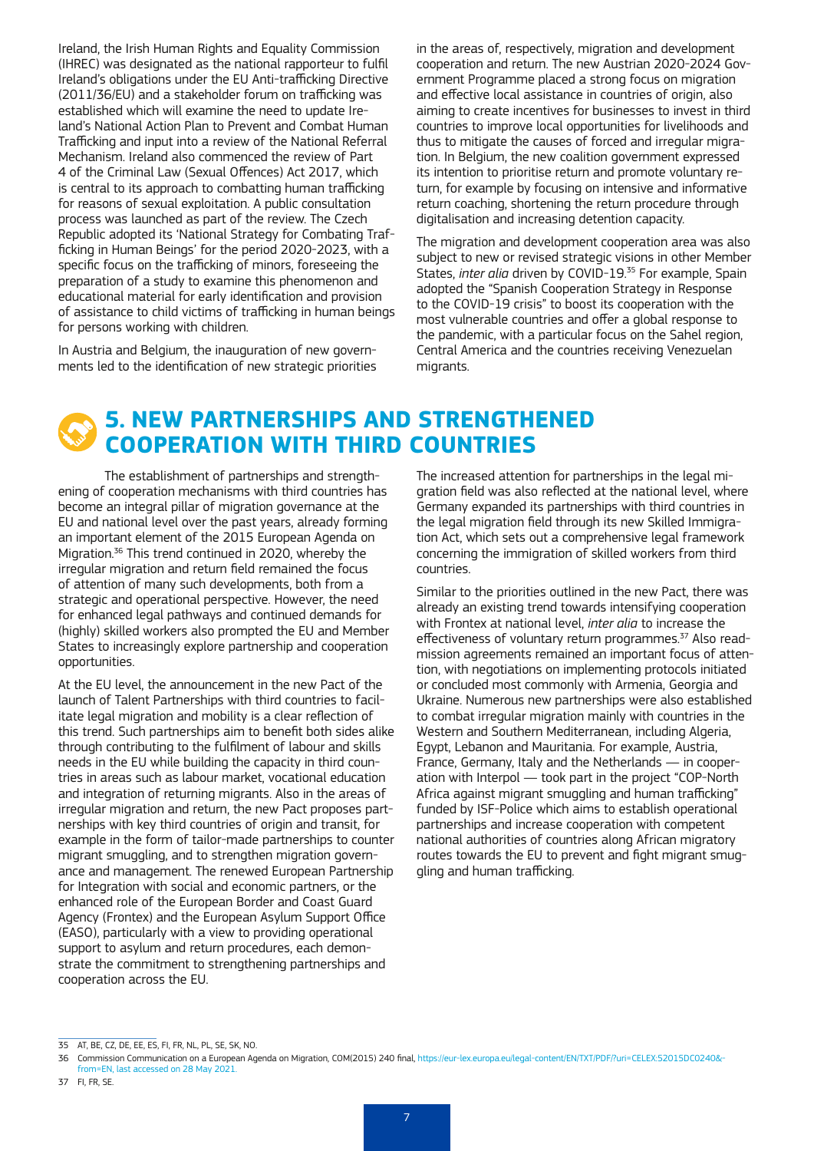Ireland, the Irish Human Rights and Equality Commission (IHREC) was designated as the national rapporteur to fulfil Ireland's obligations under the EU Anti-trafficking Directive (2011/36/EU) and a stakeholder forum on trafficking was established which will examine the need to update Ireland's National Action Plan to Prevent and Combat Human Trafficking and input into a review of the National Referral Mechanism. Ireland also commenced the review of Part 4 of the Criminal Law (Sexual Offences) Act 2017, which is central to its approach to combatting human trafficking for reasons of sexual exploitation. A public consultation process was launched as part of the review. The Czech Republic adopted its 'National Strategy for Combating Trafficking in Human Beings' for the period 2020-2023, with a specific focus on the trafficking of minors, foreseeing the preparation of a study to examine this phenomenon and educational material for early identification and provision of assistance to child victims of trafficking in human beings for persons working with children.

In Austria and Belgium, the inauguration of new governments led to the identification of new strategic priorities in the areas of, respectively, migration and development cooperation and return. The new Austrian 2020-2024 Government Programme placed a strong focus on migration and effective local assistance in countries of origin, also aiming to create incentives for businesses to invest in third countries to improve local opportunities for livelihoods and thus to mitigate the causes of forced and irregular migration. In Belgium, the new coalition government expressed its intention to prioritise return and promote voluntary return, for example by focusing on intensive and informative return coaching, shortening the return procedure through digitalisation and increasing detention capacity.

The migration and development cooperation area was also subject to new or revised strategic visions in other Member States, *inter alia* driven by COVID-19.<sup>35</sup> For example, Spain adopted the "Spanish Cooperation Strategy in Response to the COVID-19 crisis" to boost its cooperation with the most vulnerable countries and offer a global response to the pandemic, with a particular focus on the Sahel region, Central America and the countries receiving Venezuelan migrants.

## **5. NEW PARTNERSHIPS AND STRENGTHENED COOPERATION WITH THIRD COUNTRIES**

The establishment of partnerships and strengthening of cooperation mechanisms with third countries has become an integral pillar of migration governance at the EU and national level over the past years, already forming an important element of the 2015 European Agenda on Migration.<sup>36</sup> This trend continued in 2020, whereby the irregular migration and return field remained the focus of attention of many such developments, both from a strategic and operational perspective. However, the need for enhanced legal pathways and continued demands for (highly) skilled workers also prompted the EU and Member States to increasingly explore partnership and cooperation opportunities.

At the EU level, the announcement in the new Pact of the launch of Talent Partnerships with third countries to facilitate legal migration and mobility is a clear reflection of this trend. Such partnerships aim to benefit both sides alike through contributing to the fulfilment of labour and skills needs in the EU while building the capacity in third countries in areas such as labour market, vocational education and integration of returning migrants. Also in the areas of irregular migration and return, the new Pact proposes partnerships with key third countries of origin and transit, for example in the form of tailor-made partnerships to counter migrant smuggling, and to strengthen migration governance and management. The renewed European Partnership for Integration with social and economic partners, or the enhanced role of the European Border and Coast Guard Agency (Frontex) and the European Asylum Support Office (EASO), particularly with a view to providing operational support to asylum and return procedures, each demonstrate the commitment to strengthening partnerships and cooperation across the EU.

The increased attention for partnerships in the legal migration field was also reflected at the national level, where Germany expanded its partnerships with third countries in the legal migration field through its new Skilled Immigration Act, which sets out a comprehensive legal framework concerning the immigration of skilled workers from third countries.

Similar to the priorities outlined in the new Pact, there was already an existing trend towards intensifying cooperation with Frontex at national level, *inter alia* to increase the effectiveness of voluntary return programmes.37 Also readmission agreements remained an important focus of attention, with negotiations on implementing protocols initiated or concluded most commonly with Armenia, Georgia and Ukraine. Numerous new partnerships were also established to combat irregular migration mainly with countries in the Western and Southern Mediterranean, including Algeria, Egypt, Lebanon and Mauritania. For example, Austria, France, Germany, Italy and the Netherlands — in cooperation with Interpol — took part in the project "COP-North Africa against migrant smuggling and human trafficking" funded by ISF-Police which aims to establish operational partnerships and increase cooperation with competent national authorities of countries along African migratory routes towards the EU to prevent and fight migrant smuggling and human trafficking.

<sup>35</sup> AT, BE, CZ, DE, EE, ES, FI, FR, NL, PL, SE, SK, NO.

<sup>36</sup> Commission Communication on a European Agenda on Migration, COM(2015) 240 final, [https://eur-lex.europa.eu/legal-content/EN/TXT/PDF/?uri=CELEX:52015DC0240&](https://eur-lex.europa.eu/legal-content/EN/TXT/PDF/?uri=CELEX:52015DC0240&from=EN) [from=EN](https://eur-lex.europa.eu/legal-content/EN/TXT/PDF/?uri=CELEX:52015DC0240&from=EN), last accessed on 28 May 2021.

<sup>37</sup> FI, FR, SE.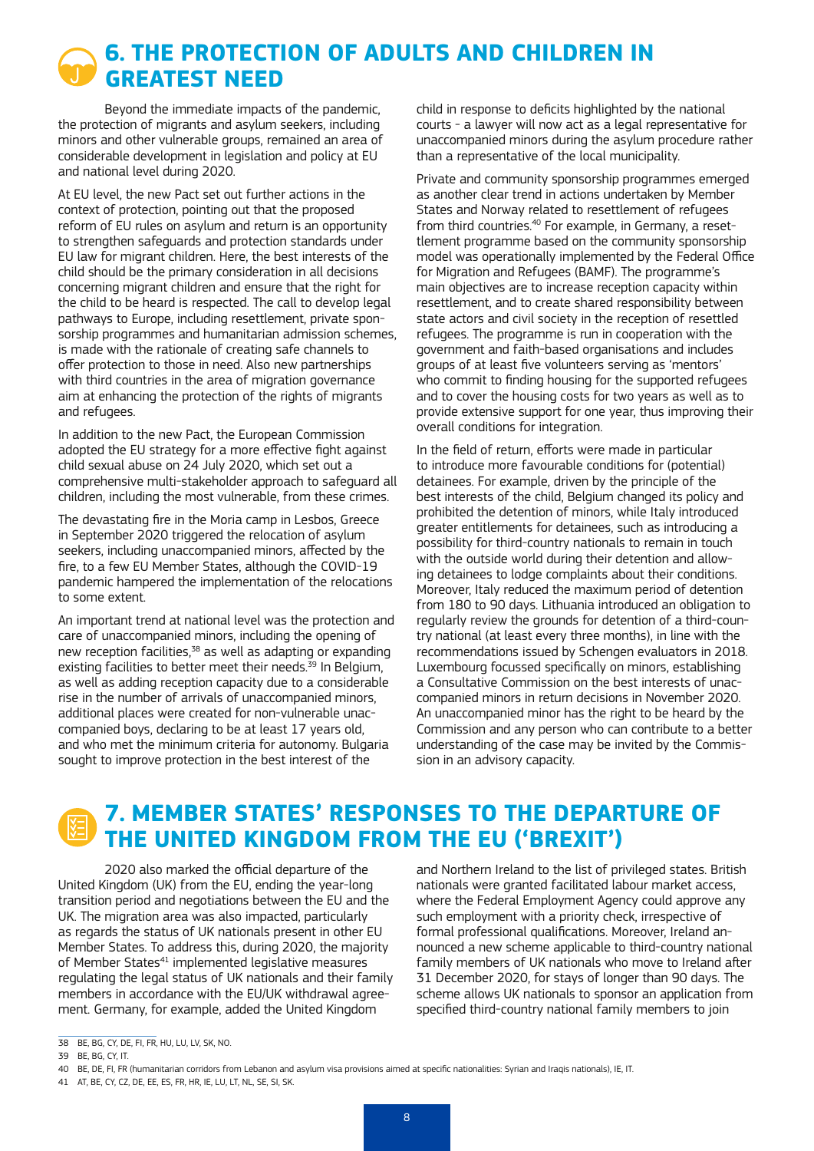# **6. THE PROTECTION OF ADULTS AND CHILDREN IN GREATEST NEED**

Beyond the immediate impacts of the pandemic, the protection of migrants and asylum seekers, including minors and other vulnerable groups, remained an area of considerable development in legislation and policy at EU and national level during 2020.

At EU level, the new Pact set out further actions in the context of protection, pointing out that the proposed reform of EU rules on asylum and return is an opportunity to strengthen safeguards and protection standards under EU law for migrant children. Here, the best interests of the child should be the primary consideration in all decisions concerning migrant children and ensure that the right for the child to be heard is respected. The call to develop legal pathways to Europe, including resettlement, private sponsorship programmes and humanitarian admission schemes, is made with the rationale of creating safe channels to offer protection to those in need. Also new partnerships with third countries in the area of migration governance aim at enhancing the protection of the rights of migrants and refugees.

In addition to the new Pact, the European Commission adopted the EU strategy for a more effective fight against child sexual abuse on 24 July 2020, which set out a comprehensive multi-stakeholder approach to safeguard all children, including the most vulnerable, from these crimes.

The devastating fire in the Moria camp in Lesbos, Greece in September 2020 triggered the relocation of asylum seekers, including unaccompanied minors, affected by the fire, to a few EU Member States, although the COVID-19 pandemic hampered the implementation of the relocations to some extent.

An important trend at national level was the protection and care of unaccompanied minors, including the opening of new reception facilities,<sup>38</sup> as well as adapting or expanding existing facilities to better meet their needs.<sup>39</sup> In Belgium, as well as adding reception capacity due to a considerable rise in the number of arrivals of unaccompanied minors, additional places were created for non-vulnerable unaccompanied boys, declaring to be at least 17 years old, and who met the minimum criteria for autonomy. Bulgaria sought to improve protection in the best interest of the

child in response to deficits highlighted by the national courts - a lawyer will now act as a legal representative for unaccompanied minors during the asylum procedure rather than a representative of the local municipality.

Private and community sponsorship programmes emerged as another clear trend in actions undertaken by Member States and Norway related to resettlement of refugees from third countries.<sup>40</sup> For example, in Germany, a resettlement programme based on the community sponsorship model was operationally implemented by the Federal Office for Migration and Refugees (BAMF). The programme's main objectives are to increase reception capacity within resettlement, and to create shared responsibility between state actors and civil society in the reception of resettled refugees. The programme is run in cooperation with the government and faith-based organisations and includes groups of at least five volunteers serving as 'mentors' who commit to finding housing for the supported refugees and to cover the housing costs for two years as well as to provide extensive support for one year, thus improving their overall conditions for integration.

In the field of return, efforts were made in particular to introduce more favourable conditions for (potential) detainees. For example, driven by the principle of the best interests of the child, Belgium changed its policy and prohibited the detention of minors, while Italy introduced greater entitlements for detainees, such as introducing a possibility for third-country nationals to remain in touch with the outside world during their detention and allowing detainees to lodge complaints about their conditions. Moreover, Italy reduced the maximum period of detention from 180 to 90 days. Lithuania introduced an obligation to regularly review the grounds for detention of a third-country national (at least every three months), in line with the recommendations issued by Schengen evaluators in 2018. Luxembourg focussed specifically on minors, establishing a Consultative Commission on the best interests of unaccompanied minors in return decisions in November 2020. An unaccompanied minor has the right to be heard by the Commission and any person who can contribute to a better understanding of the case may be invited by the Commission in an advisory capacity.

# **7. MEMBER STATES' RESPONSES TO THE DEPARTURE OF THE UNITED KINGDOM FROM THE EU ('BREXIT')**

2020 also marked the official departure of the United Kingdom (UK) from the EU, ending the year-long transition period and negotiations between the EU and the UK. The migration area was also impacted, particularly as regards the status of UK nationals present in other EU Member States. To address this, during 2020, the majority of Member States<sup>41</sup> implemented legislative measures regulating the legal status of UK nationals and their family members in accordance with the EU/UK withdrawal agreement. Germany, for example, added the United Kingdom

and Northern Ireland to the list of privileged states. British nationals were granted facilitated labour market access, where the Federal Employment Agency could approve any such employment with a priority check, irrespective of formal professional qualifications. Moreover, Ireland announced a new scheme applicable to third-country national family members of UK nationals who move to Ireland after 31 December 2020, for stays of longer than 90 days. The scheme allows UK nationals to sponsor an application from specified third-country national family members to join

<sup>38</sup> BE, BG, CY, DE, FI, FR, HU, LU, LV, SK, NO.

<sup>39</sup> BE, BG, CY, IT.

<sup>40</sup> BE, DE, FI, FR (humanitarian corridors from Lebanon and asylum visa provisions aimed at specific nationalities: Syrian and Iraqis nationals), IE, IT.

<sup>41</sup> AT, BE, CY, CZ, DE, EE, ES, FR, HR, IE, LU, LT, NL, SE, SI, SK.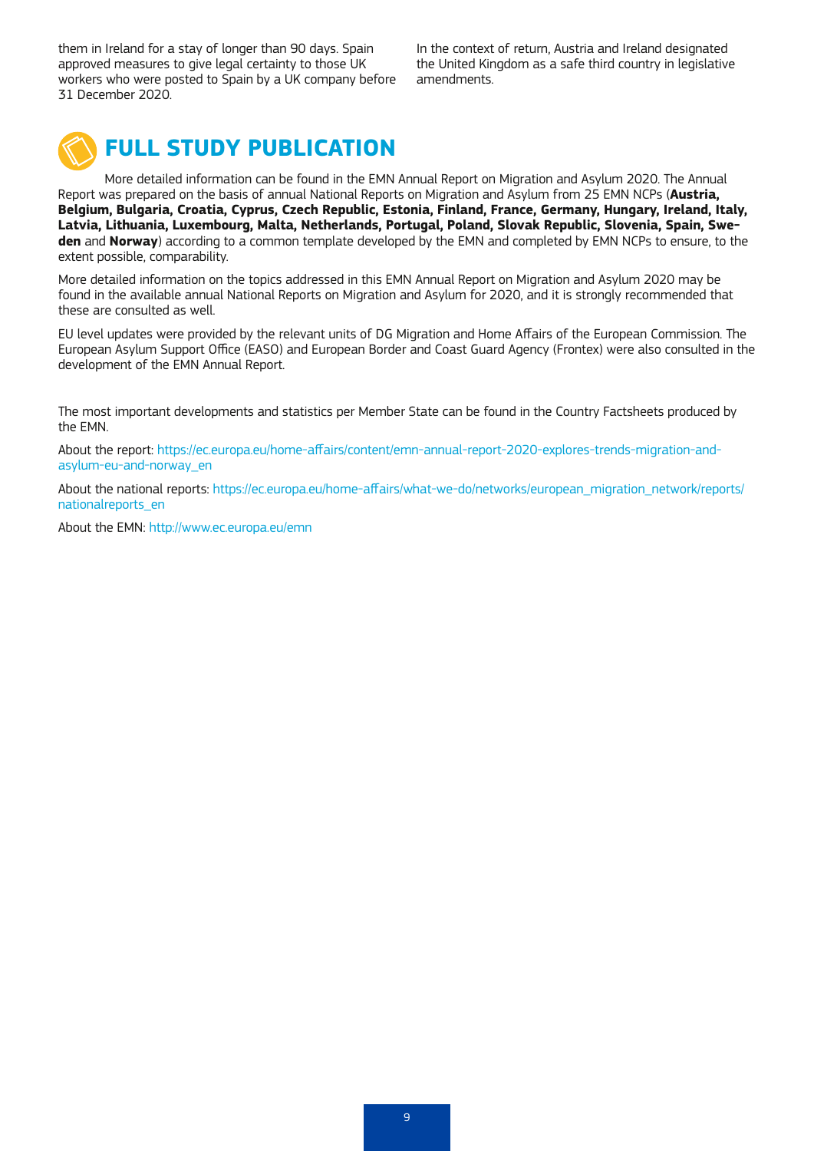them in Ireland for a stay of longer than 90 days. Spain approved measures to give legal certainty to those UK workers who were posted to Spain by a UK company before 31 December 2020.

In the context of return, Austria and Ireland designated the United Kingdom as a safe third country in legislative amendments.



# **FULL STUDY PUBLICATION**

More detailed information can be found in the EMN Annual Report on Migration and Asylum 2020. The Annual Report was prepared on the basis of annual National Reports on Migration and Asylum from 25 EMN NCPs (**Austria, Belgium, Bulgaria, Croatia, Cyprus, Czech Republic, Estonia, Finland, France, Germany, Hungary, Ireland, Italy, Latvia, Lithuania, Luxembourg, Malta, Netherlands, Portugal, Poland, Slovak Republic, Slovenia, Spain, Sweden** and **Norway**) according to a common template developed by the EMN and completed by EMN NCPs to ensure, to the extent possible, comparability.

More detailed information on the topics addressed in this EMN Annual Report on Migration and Asylum 2020 may be found in the available annual National Reports on Migration and Asylum for 2020, and it is strongly recommended that these are consulted as well.

EU level updates were provided by the relevant units of DG Migration and Home Affairs of the European Commission. The European Asylum Support Office (EASO) and European Border and Coast Guard Agency (Frontex) were also consulted in the development of the EMN Annual Report.

The most important developments and statistics per Member State can be found in the Country Factsheets produced by the EMN.

About the report: [https://ec.europa.eu/home-affairs/content/emn-annual-report-2020-explores-trends-migration-and](https://ec.europa.eu/home-affairs/content/emn-annual-report-2020-explores-trends-migration-and-asylum-eu-and-norway_en)[asylum-eu-and-norway\\_en](https://ec.europa.eu/home-affairs/content/emn-annual-report-2020-explores-trends-migration-and-asylum-eu-and-norway_en) 

About the national reports: [https://ec.europa.eu/home-affairs/what-we-do/networks/european\\_migration\\_network/reports/](https://ec.europa.eu/home-affairs/what-we-do/networks/european_migration_network/reports/nationalreports_en) [nationalreports\\_en](https://ec.europa.eu/home-affairs/what-we-do/networks/european_migration_network/reports/nationalreports_en)

About the EMN:<http://www.ec.europa.eu/emn>